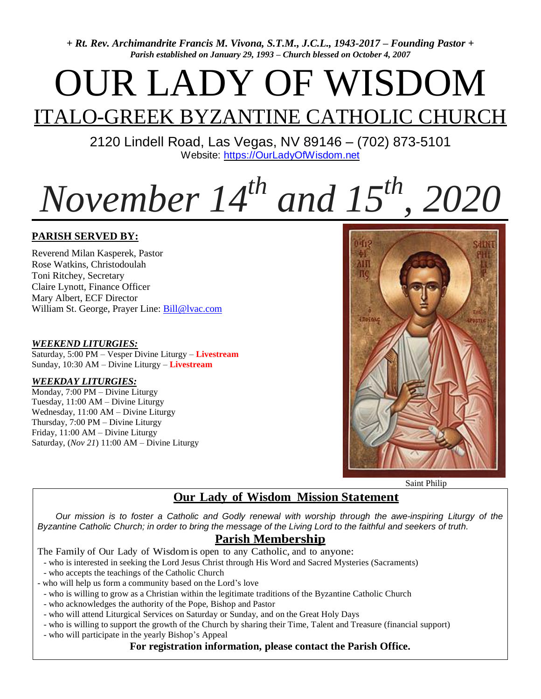*+ Rt. Rev. Archimandrite Francis M. Vivona, S.T.M., J.C.L., 1943-2017 – Founding Pastor + Parish established on January 29, 1993 – Church blessed on October 4, 2007*

# OUR LADY OF WISDOM

# ITALO-GREEK BYZANTINE CATHOLIC CHURCH

2120 Lindell Road, Las Vegas, NV 89146 – (702) 873-5101 Website: [https://OurLadyOfWisdom.net](https://ourladyofwisdom.net/)

# *November 14th and 15th , 2020*

#### **PARISH SERVED BY:**

Reverend Milan Kasperek, Pastor Rose Watkins, Christodoulah Toni Ritchey, Secretary Claire Lynott, Finance Officer Mary Albert, ECF Director William St. George, Prayer Line: [Bill@lvac.com](mailto:Bill@lvac.com)

#### *WEEKEND LITURGIES:*

Saturday, 5:00 PM – Vesper Divine Liturgy – **Livestream** Sunday, 10:30 AM – Divine Liturgy – **Livestream**

#### *WEEKDAY LITURGIES:*

Monday, 7:00 PM – Divine Liturgy Tuesday, 11:00 AM – Divine Liturgy Wednesday, 11:00 AM – Divine Liturgy Thursday, 7:00 PM – Divine Liturgy Friday, 11:00 AM – Divine Liturgy Saturday, (*Nov 21*) 11:00 AM – Divine Liturgy



Saint Philip

#### **Our Lady of Wisdom Mission Statement**

Our mission is to foster a Catholic and Godly renewal with worship through the awe-inspiring Liturgy of the Byzantine Catholic Church; in order to bring the message of the Living Lord to the faithful and seekers of truth.

#### **Parish Membership**

- The Family of Our Lady of Wisdomis open to any Catholic, and to anyone:
- who is interested in seeking the Lord Jesus Christ through His Word and Sacred Mysteries (Sacraments)
- who accepts the teachings of the Catholic Church
- who will help us form a community based on the Lord's love
- who is willing to grow as a Christian within the legitimate traditions of the Byzantine Catholic Church
- who acknowledges the authority of the Pope, Bishop and Pastor
- who will attend Liturgical Services on Saturday or Sunday, and on the Great Holy Days
- who is willing to support the growth of the Church by sharing their Time, Talent and Treasure (financial support)
- who will participate in the yearly Bishop's Appeal

#### **For registration information, please contact the Parish Office.**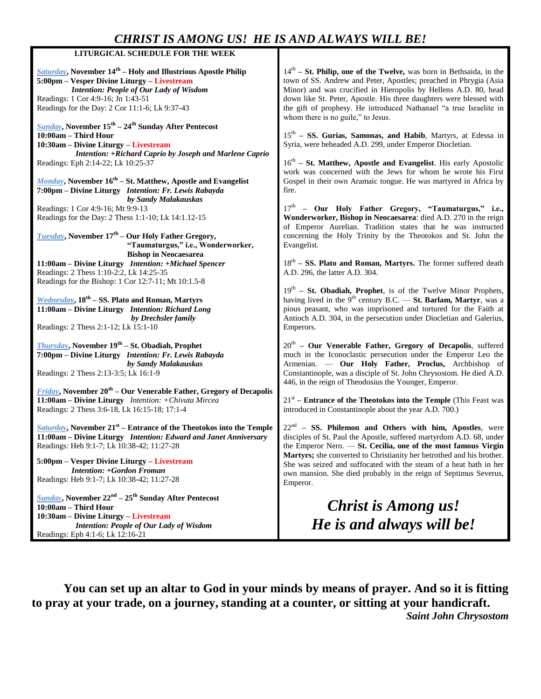| LITURGICAL SCHEDULE FOR THE WEEK                                                                                                                                                                                                                                 |                                                                                   |
|------------------------------------------------------------------------------------------------------------------------------------------------------------------------------------------------------------------------------------------------------------------|-----------------------------------------------------------------------------------|
| <b>Saturday</b> , November $14th$ – Holy and Illustrious Apostle Philip<br>5:00pm - Vesper Divine Liturgy - Livestream<br><b>Intention: People of Our Lady of Wisdom</b><br>Readings: 1 Cor 4:9-16; Jn 1:43-51<br>Readings for the Day: 2 Cor 11:1-6; Lk 9:37-43 | $14^{th} - St.$<br>town of S<br>Minor) ar<br>down like<br>the gift of<br>whom the |
| <b>Sunday</b> , November $15th - 24th$ Sunday After Pentecost<br>10:00am - Third Hour<br>10:30am – Divine Liturgy – Livestream<br>Intention: +Richard Caprio by Joseph and Marlene Caprio<br>Readings: Eph 2:14-22; Lk 10:25-37                                  | $15^{\text{th}} - SS$<br>Syria, wer<br>$16^{\text{th}} - \text{St.}$<br>work was  |
| Monday, November 16 <sup>th</sup> – St. Matthew, Apostle and Evangelist<br>7:00pm - Divine Liturgy Intention: Fr. Lewis Rabayda<br>by Sandy Malakauskas<br>Readings: 1 Cor 4:9-16; Mt 9:9-13                                                                     | Gospel in<br>fire.<br>$17^{th}$ –                                                 |
| Readings for the Day: 2 Thess 1:1-10; Lk 14:1.12-15<br><b>Tuesday</b> , November 17 <sup>th</sup> – Our Holy Father Gregory,<br>"Taumaturgus," i.e., Wonderworker,                                                                                               | Wonderw<br>of Emper<br>concerning<br>Evangelist                                   |
| <b>Bishop in Neocaesarea</b><br>11:00am - Divine Liturgy Intention: +Michael Spencer<br>Readings: 2 Thess 1:10-2:2, Lk 14:25-35                                                                                                                                  | $18^{th}$ – SS.<br>A.D. 296,                                                      |
| Readings for the Bishop: 1 Cor 12:7-11; Mt 10:1.5-8<br><i>Wednesday</i> , 18 <sup>th</sup> – SS. Plato and Roman, Martyrs<br>11:00am - Divine Liturgy Intention: Richard Long<br>by Drechsler family<br>Readings: 2 Thess 2:1-12; Lk 15:1-10                     | $19^{th} - St.$<br>having liv<br>pious pea<br>Antioch A<br>Emperors.              |
| <b>Thursday</b> , November 19 <sup>th</sup> – St. Obadiah, Prophet<br>7:00pm - Divine Liturgy Intention: Fr. Lewis Rabayda<br>by Sandy Malakauskas<br>Readings: 2 Thess 2:13-3:5; Lk 16:1-9                                                                      | $20^{\text{th}} - \Omega$<br>much in<br>Armenian<br>Constantin<br>446, in the     |
| <b>Friday</b> , November $20^{th}$ – Our Venerable Father, Gregory of Decapolis<br>11:00am - Divine Liturgy Intention: + Chivuta Mircea<br>Readings: 2 Thess 3:6-18, Lk 16:15-18; 17:1-4                                                                         | $21^{\text{st}} -$ Ent<br>introduced                                              |
| <b>Saturday</b> , November $21^{st}$ – Entrance of the Theotokos into the Temple<br>11:00am - Divine Liturgy Intention: Edward and Janet Anniversary<br>Readings: Heb 9:1-7; Lk 10:38-42; 11:27-28                                                               | $22^{nd}$ – S<br>disciples o<br>the Emper                                         |
| 5:00pm – Vesper Divine Liturgy – Livestream<br><b>Intention: +Gordon Froman</b><br>Readings: Heb 9:1-7; Lk 10:38-42; 11:27-28                                                                                                                                    | Martyrs;<br>She was s<br>own mans<br>Emperor.                                     |
| <b>Sunday, November 22<sup>nd</sup></b> – $25th$ Sunday After Pentecost<br>10:00am - Third Hour<br>10:30am - Divine Liturgy - Livestream                                                                                                                         |                                                                                   |

*Intention: People of Our Lady of Wisdom*

Readings: Eph 4:1-6; Lk 12:16-21

**– St. Philip, one of the Twelve,** was born in Bethsaida, in the S. Andrew and Peter, Apostles; preached in Phrygia (Asia nd was crucified in Hieropolis by Hellens A.D. 80, head St. Peter, Apostle. His three daughters were blessed with f prophesy. He introduced Nathanael "a true Israelite in re is no guile," to Jesus.

**– SS. Gurias, Samonas, and Habib**, Martyrs, at Edessa in e beheaded A.D. 299, under Emperor Diocletian.

**– St. Matthew, Apostle and Evangelist**. His early Apostolic concerned with the Jews for whom he wrote his First their own Aramaic tongue. He was martyred in Africa by

**– Our Holy Father Gregory, "Taumaturgus," i.e.,**  vorker, Bishop in Neocaesarea: died A.D. 270 in the reign ror Aurelian. Tradition states that he was instructed g the Holy Trinity by the Theotokos and St. John the Evangelist.

Plato and Roman, Martyrs. The former suffered death the latter A.D. 304.

**– St. Obadiah, Prophet**, is of the Twelve Minor Prophets, ved in the 9<sup>th</sup> century B.C. — **St. Barlam, Martyr**, was a sant, who was imprisoned and tortured for the Faith at A.D. 304, in the persecution under Diocletian and Galerius, Emperors.

**– Our Venerable Father, Gregory of Decapolis**, suffered the Iconoclastic persecution under the Emperor Leo the . - Our Holy Father, Proclus, Archbishop of nople, was a disciple of St. John Chrysostom. He died A.D. e reign of Theodosius the Younger, Emperor.

**France of the Theotokos into the Temple** (This Feast was d in Constantinople about the year A.D. 700.)

**– SS. Philemon and Others with him, Apostles**, were of St. Paul the Apostle, suffered martyrdom A.D. 68, under  $t$  Nero. — **St. Cecilia, one of the most famous Virgin** she converted to Christianity her betrothed and his brother. seized and suffocated with the steam of a heat bath in her sion. She died probably in the reign of Septimus Severus,

### *Christ is Among us! He is and always will be!*

**You can set up an altar to God in your minds by means of prayer. And so it is fitting to pray at your trade, on a journey, standing at a counter, or sitting at your handicraft.** *Saint John Chrysostom*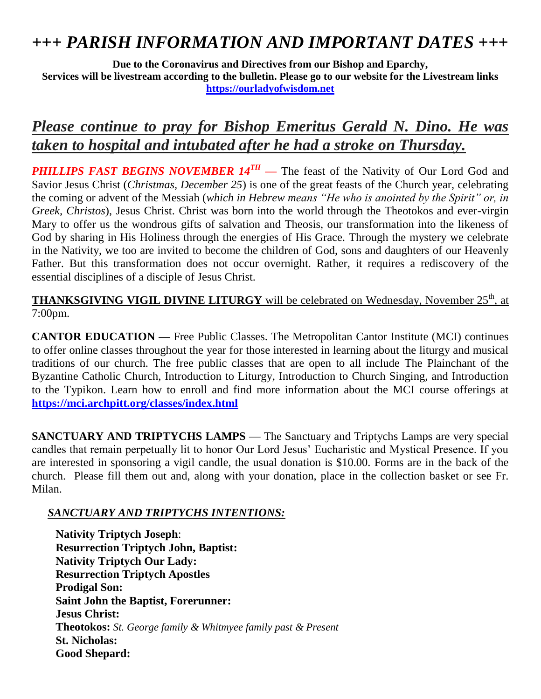## *+++ PARISH INFORMATION AND IMPORTANT DATES +++*

**Due to the Coronavirus and Directives from our Bishop and Eparchy, Services will be livestream according to the bulletin. Please go to our website for the Livestream links [https://ourladyofwisdom.net](https://ourladyofwisdom.net/)**

## *Please continue to pray for Bishop Emeritus Gerald N. Dino. He was taken to hospital and intubated after he had a stroke on Thursday.*

*PHILLIPS FAST BEGINS NOVEMBER*  $14^{TH}$  *— The feast of the Nativity of Our Lord God and* Savior Jesus Christ (*Christmas, December 25*) is one of the great feasts of the Church year, celebrating the coming or advent of the Messiah (*which in Hebrew means "He who is anointed by the Spirit" or, in Greek, Christos*), Jesus Christ. Christ was born into the world through the Theotokos and ever-virgin Mary to offer us the wondrous gifts of salvation and Theosis, our transformation into the likeness of God by sharing in His Holiness through the energies of His Grace. Through the mystery we celebrate in the Nativity, we too are invited to become the children of God, sons and daughters of our Heavenly Father. But this transformation does not occur overnight. Rather, it requires a rediscovery of the essential disciplines of a disciple of Jesus Christ.

#### **THANKSGIVING VIGIL DIVINE LITURGY** will be celebrated on Wednesday, November 25<sup>th</sup>, at 7:00pm.

**CANTOR EDUCATION —** Free Public Classes. The Metropolitan Cantor Institute (MCI) continues to offer online classes throughout the year for those interested in learning about the liturgy and musical traditions of our church. The free public classes that are open to all include The Plainchant of the Byzantine Catholic Church, Introduction to Liturgy, Introduction to Church Singing, and Introduction to the Typikon. Learn how to enroll and find more information about the MCI course offerings at **<https://mci.archpitt.org/classes/index.html>**

**SANCTUARY AND TRIPTYCHS LAMPS** — The Sanctuary and Triptychs Lamps are very special candles that remain perpetually lit to honor Our Lord Jesus' Eucharistic and Mystical Presence. If you are interested in sponsoring a vigil candle, the usual donation is \$10.00. Forms are in the back of the church. Please fill them out and, along with your donation, place in the collection basket or see Fr. Milan.

#### *SANCTUARY AND TRIPTYCHS INTENTIONS:*

**Nativity Triptych Joseph**: **Resurrection Triptych John, Baptist: Nativity Triptych Our Lady: Resurrection Triptych Apostles Prodigal Son: Saint John the Baptist, Forerunner: Jesus Christ: Theotokos:** *St. George family & Whitmyee family past & Present* **St. Nicholas: Good Shepard:**